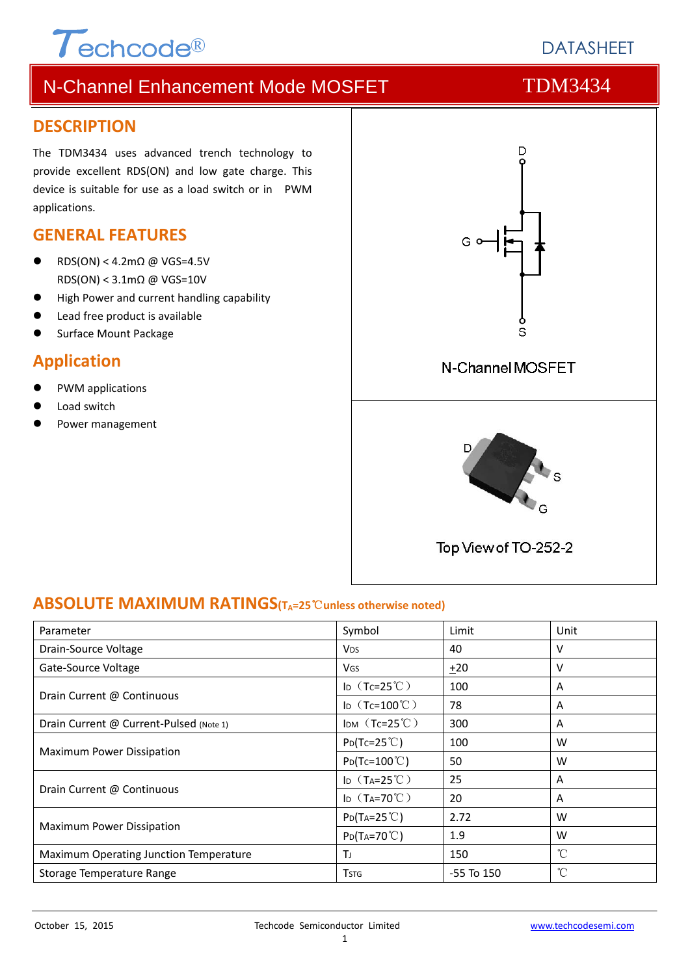1

# N-Channel Enhancement Mode MOSFET TOM3434

#### **DESCRIPTION**

The TDM3434 uses advanced trench technology to provide excellent RDS(ON) and low gate charge. This device is suitable for use as a load switch or in PWM applications.

### **GENERAL FEATURES**

RDS(ON) < 4.2m $\Omega$  @ VGS=4.5V RDS(ON) < 3.1mΩ @ VGS=10V

 $\tau$ echcode®

- High Power and current handling capability
- Lead free product is available
- Surface Mount Package

### **Application**

- PWM applications
- Load switch
- Power management



#### **ABSOLUTE MAXIMUM RATINGS(TA=25**℃**unless otherwise noted)**

| Parameter                               | Symbol                              | Limit          | Unit         |
|-----------------------------------------|-------------------------------------|----------------|--------------|
| Drain-Source Voltage                    | <b>V<sub>DS</sub></b>               | 40             | v            |
| Gate-Source Voltage                     | <b>V<sub>GS</sub></b>               | ±20            | ٧            |
|                                         | ID $(Tc=25^{\circ}C)$               | 100            | A            |
| Drain Current @ Continuous              | I <sub>D</sub> $(Tc=100^{\circ}$ C) | 78             | A            |
| Drain Current @ Current-Pulsed (Note 1) | IDM $(Tc=25^{\circ}C)$              | 300            | A<br>W       |
|                                         | $P_{D}(Tc=25^{\circ}C)$             | 100            |              |
| <b>Maximum Power Dissipation</b>        | $P_{D}(Tc=100^{\circ}C)$            | 50<br>W        |              |
|                                         | ID $(T_A=25^{\circ}C)$              | 25             | A            |
| Drain Current @ Continuous              | ID $(T_A=70^{\circ}C)$              | 20             | A            |
|                                         | $P_{D}(Ta=25^{\circ}C)$             | 2.72           | W            |
| <b>Maximum Power Dissipation</b>        | $P_{D}(Ta=70^{\circ}C)$             | 1.9            | W            |
| Maximum Operating Junction Temperature  | Τı                                  | 150            | $^{\circ}C$  |
| Storage Temperature Range               | <b>T</b> stg                        | $-55$ To $150$ | $^{\circ}$ C |

# **DATASHEFT**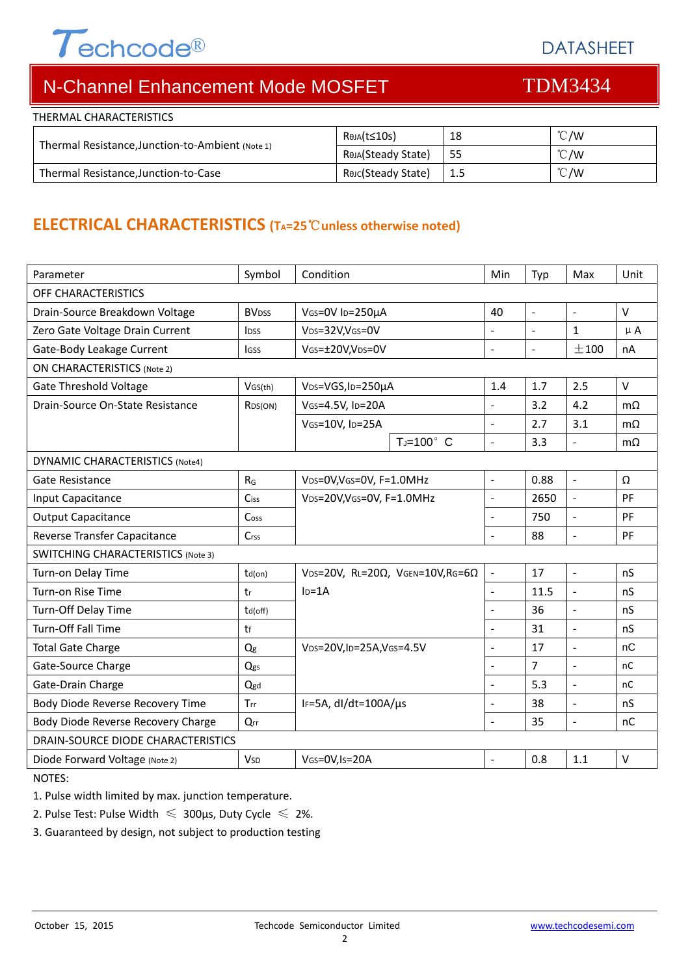# $\tau$ echcode®

DATASHEET

# N-Channel Enhancement Mode MOSFET TOM3434

| THERMAL CHARACTERISTICS                          |                    |     |               |
|--------------------------------------------------|--------------------|-----|---------------|
|                                                  | Reja(t≤10s)        | 18  | $\degree$ C/W |
| Thermal Resistance, Junction-to-Ambient (Note 1) | Reja(Steady State) | -55 | $\degree$ C/W |
| Thermal Resistance, Junction-to-Case             | Rejc(Steady State) | 1.5 | $\degree$ C/W |

## **ELECTRICAL CHARACTERISTICS (TA=25**℃**unless otherwise noted)**

| Parameter                                 | Symbol                  | Condition                                                    |                 | Min                      | Typ            | Max                 | Unit      |  |
|-------------------------------------------|-------------------------|--------------------------------------------------------------|-----------------|--------------------------|----------------|---------------------|-----------|--|
| OFF CHARACTERISTICS                       |                         |                                                              |                 |                          |                |                     |           |  |
| Drain-Source Breakdown Voltage            | <b>BV<sub>DSS</sub></b> | VGS=0V ID=250µA                                              |                 | 40                       | ÷,             | $\sim$              | $\vee$    |  |
| Zero Gate Voltage Drain Current           | <b>IDSS</b>             | VDS=32V,VGS=0V                                               |                 | $\overline{a}$           | $\overline{a}$ | $\mathbf{1}$        | $\mu$ A   |  |
| Gate-Body Leakage Current                 | <b>IGSS</b>             | VGS=±20V,VDS=0V                                              |                 | ÷,                       | $\blacksquare$ | ±100                | nA        |  |
| <b>ON CHARACTERISTICS (Note 2)</b>        |                         |                                                              |                 |                          |                |                     |           |  |
| <b>Gate Threshold Voltage</b>             | VGS(th)                 | V <sub>DS</sub> =VGS, I <sub>D</sub> =250µA                  |                 | 1.4                      | 1.7            | 2.5                 | $\vee$    |  |
| Drain-Source On-State Resistance          | R <sub>DS</sub> (ON)    | VGS=4.5V, ID=20A                                             |                 | ÷,                       | 3.2            | 4.2                 | $m\Omega$ |  |
|                                           |                         | VGS=10V, ID=25A                                              |                 | $\overline{\phantom{a}}$ | 2.7            | 3.1                 | $m\Omega$ |  |
|                                           |                         |                                                              | $T_J = 100$ ° C | $\overline{a}$           | 3.3            | $\overline{a}$      | $m\Omega$ |  |
| <b>DYNAMIC CHARACTERISTICS (Note4)</b>    |                         |                                                              |                 |                          |                |                     |           |  |
| Gate Resistance                           | $R_G$                   | VDS=0V, VGS=0V, F=1.0MHz                                     |                 | $\overline{a}$           | 0.88           | $\overline{a}$      | Ω         |  |
| Input Capacitance                         | Ciss                    | VDS=20V, VGS=0V, F=1.0MHz                                    |                 | $\overline{\phantom{a}}$ | 2650           | $\blacksquare$      | <b>PF</b> |  |
| <b>Output Capacitance</b>                 | Cos <sub>5</sub>        |                                                              |                 | ÷.                       | 750            | $\overline{a}$      | PF        |  |
| Reverse Transfer Capacitance              | Crss                    |                                                              |                 |                          | 88             | $\overline{a}$      | PF        |  |
| <b>SWITCHING CHARACTERISTICS (Note 3)</b> |                         |                                                              |                 |                          |                |                     |           |  |
| Turn-on Delay Time                        | td(on)                  | VDS=20V, RL=20 $\Omega$ , VGEN=10V, RG=6 $\Omega$<br>$ID=1A$ |                 | $\blacksquare$           | 17             | $\bar{\phantom{a}}$ | nS        |  |
| Turn-on Rise Time                         | tr                      |                                                              |                 | L.                       | 11.5           | $\sim$              | nS        |  |
| Turn-Off Delay Time                       | td(off)                 |                                                              |                 | ÷.                       | 36             | $\overline{a}$      | nS        |  |
| Turn-Off Fall Time                        | tf                      |                                                              |                 | ÷,                       | 31             | $\overline{a}$      | nS        |  |
| <b>Total Gate Charge</b>                  | Q <sub>g</sub>          | VDS=20V,ID=25A,VGS=4.5V                                      |                 | ÷,                       | 17             | $\blacksquare$      | nC        |  |
| Gate-Source Charge                        | Qgs                     |                                                              |                 |                          | $\overline{7}$ | $\sim$              | nC        |  |
| Gate-Drain Charge                         | Qgd                     |                                                              |                 |                          | 5.3            | $\overline{a}$      | nC        |  |
| Body Diode Reverse Recovery Time          | Trr                     | IF=5A, $dI/dt=100A/\mu s$                                    |                 | $\overline{\phantom{0}}$ | 38             | $\blacksquare$      | nS        |  |
| Body Diode Reverse Recovery Charge        | Qrr                     |                                                              |                 | L.                       | 35             | $\sim$              | nC        |  |
| DRAIN-SOURCE DIODE CHARACTERISTICS        |                         |                                                              |                 |                          |                |                     |           |  |
| Diode Forward Voltage (Note 2)            | <b>V<sub>SD</sub></b>   | VGS=0V, Is=20A                                               |                 | L.                       | 0.8            | 1.1                 | $\vee$    |  |

NOTES:

1. Pulse width limited by max. junction temperature.

2. Pulse Test: Pulse Width  $\leq 300$ μs, Duty Cycle  $\leq 2\%$ .

3. Guaranteed by design, not subject to production testing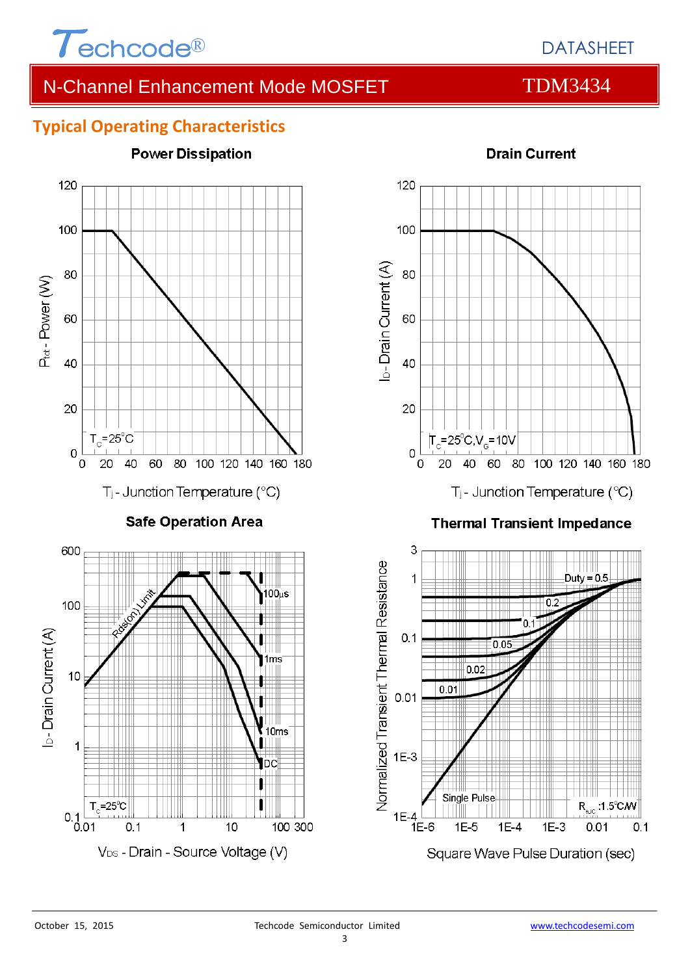

# N-Channel Enhancement Mode MOSFET TOM3434

### **Typical Operating Characteristics**





#### **Thermal Transient Impedance**



### **Drain Current**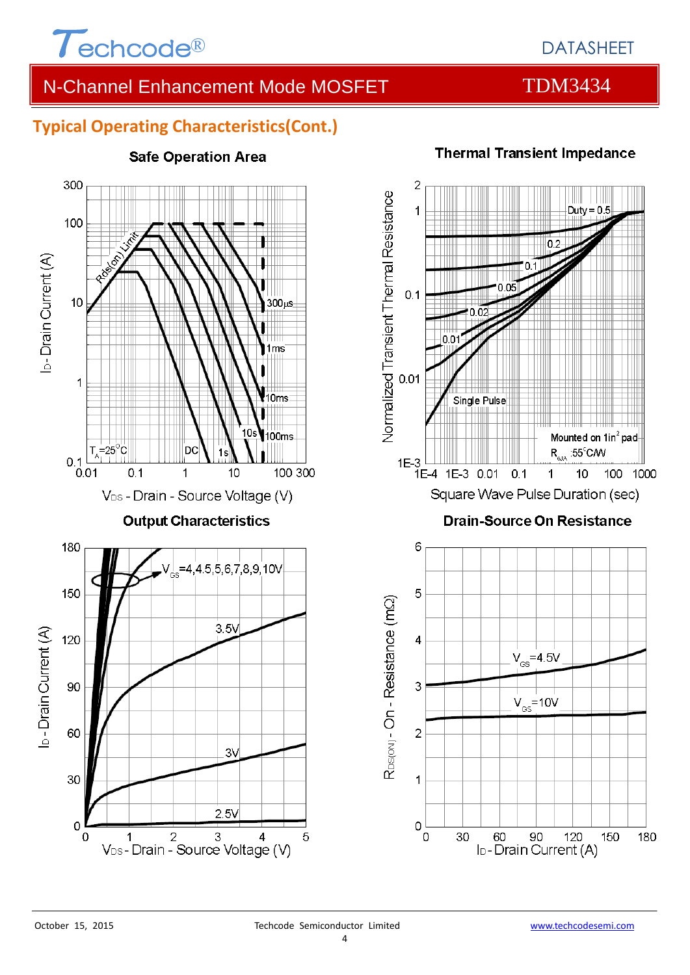

# DATASHEET

# N-Channel Enhancement Mode MOSFET TOM3434

### **Typical Operating Characteristics(Cont.)**



#### **Safe Operation Area**



#### **Thermal Transient Impedance**

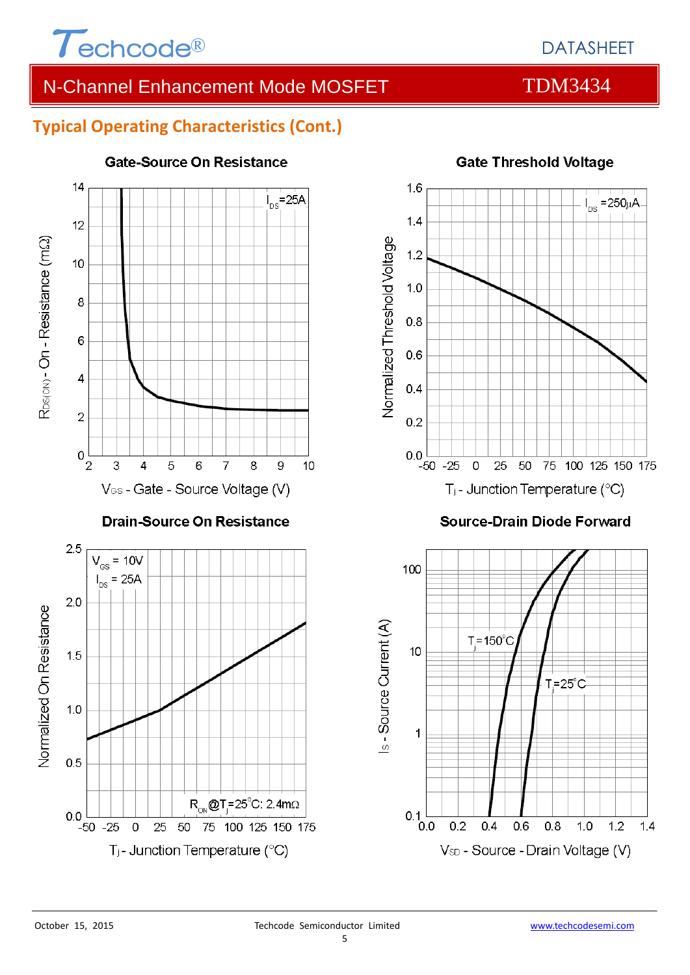

# N-Channel Enhancement Mode MOSFET TOM3434

### **Typical Operating Characteristics (Cont.)**



#### **Gate-Source On Resistance**



#### **Source-Drain Diode Forward**

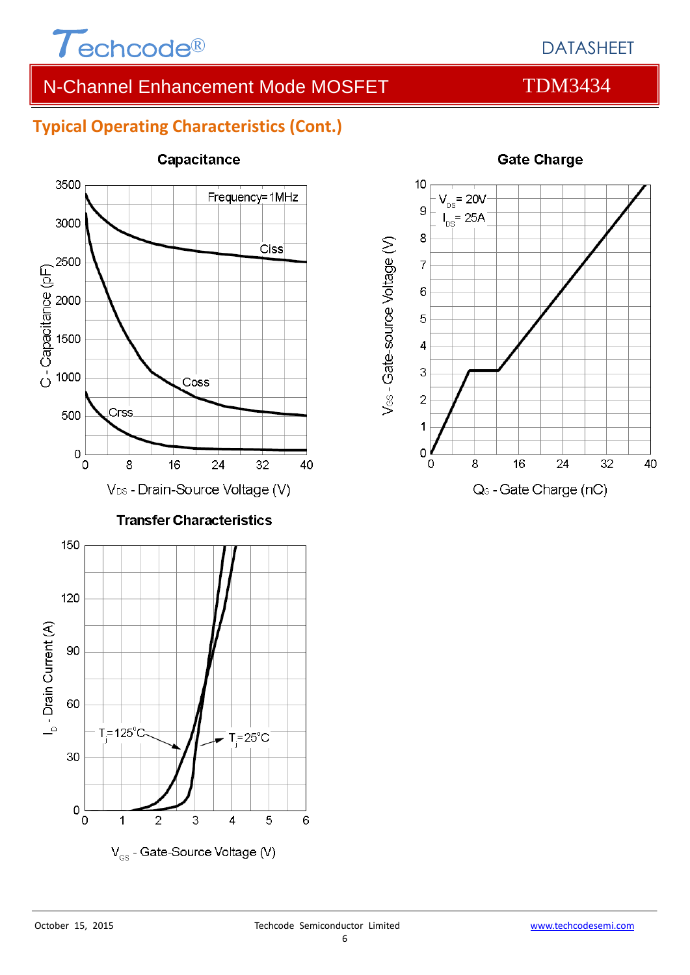

# DATASHEET

# N-Channel Enhancement Mode MOSFET TOM3434

### **Typical Operating Characteristics (Cont.)**



#### **Capacitance**



#### **Gate Charge**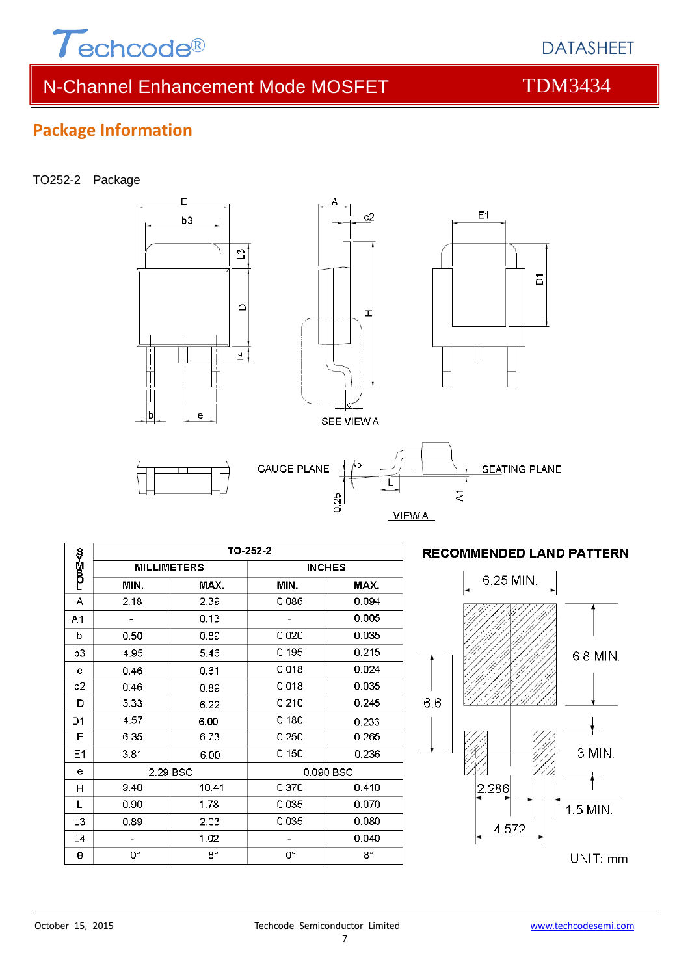

# N-Channel Enhancement Mode MOSFET TOM3434

 $\overline{E}$ 

 $b3$ 

b

ė

## **Package Information**

#### TO252-2 Package

|                |                    |             | <b>GAUGE PLANE</b> | ÁЪ<br>0.25<br><b>VIEWA</b> |
|----------------|--------------------|-------------|--------------------|----------------------------|
|                |                    |             | TO-252-2           |                            |
| ლა≣≺ო          | <b>MILLIMETERS</b> |             |                    | <b>INCHES</b>              |
|                | MIN.               | MAX.        | MIN.               | MAX.                       |
| Α              | 2.18               | 2.39        | 0.086              | 0.094                      |
| A1             |                    | 0.13        |                    | 0.005                      |
| b              | 0.50               | 0.89        | 0.020              | 0.035                      |
| b3             | 4.95               | 5.46        | 0.195              | 0.215                      |
| c              | 0.46               | 0.61        | 0.018              | 0.024                      |
| c2             | 0.46               | 0.89        | 0.018              | 0.035                      |
| D              | 5.33               | 6.22        | 0.210              | 0.245                      |
| D <sub>1</sub> | 4.57               | 6.00        | 0.180              | 0.236                      |
| Ε              | 6.35               | 6.73        | 0.250              | 0.265                      |
| E1             | 3.81               | 6.00        | 0.150              | 0.236                      |
| e              | 2.29 BSC           |             |                    | 0.090 BSC                  |
| Н              | 9.40               | 10.41       | 0.370              | 0.410                      |
| Г              | 0.90               | 1.78        | 0.035              | 0.070                      |
| L <sub>3</sub> | 0.89               | 2.03        | 0.035              | 0.080                      |
| L4             |                    | 1.02        |                    | 0.040                      |
| θ              | 0°                 | $8^{\circ}$ | 0°                 | $8^{\circ}$                |



**RECOMMENDED LAND PATTERN** 



DATASHEET